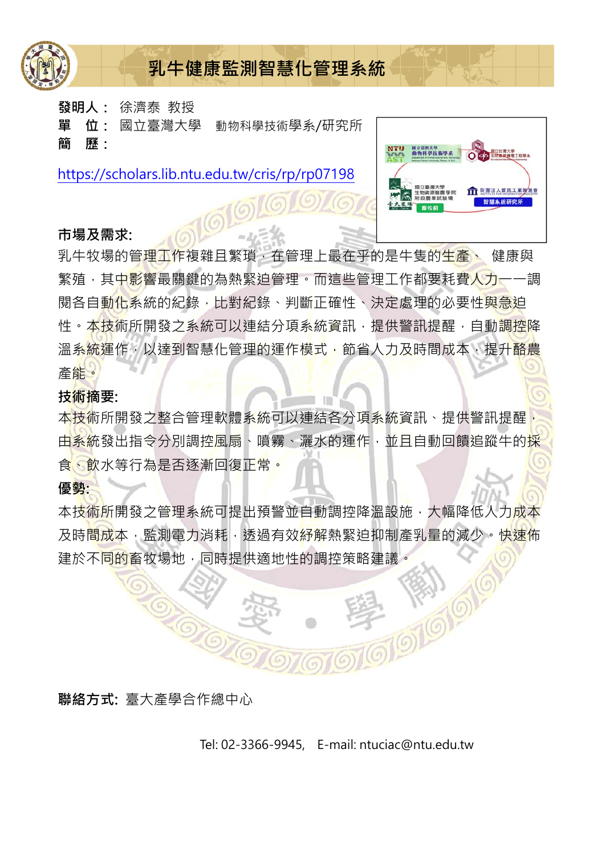

**發明人:** 徐濟泰 教授

**單 位:** 國立臺灣大學 動物科學技術學系/研究所 **簡 歷:**

https://scholars.lib.ntu.edu.tw/cris/rp/rp07198

#### **市場及需求:**

乳牛牧場的管理工作複雜且繁瑣,在管理上最在乎的是牛隻的生產、 健康與 繁殖,其中影響最關鍵的為熱緊迫管理。而這些管理工作都要耗費人力一一調 閱各自動化系統的紀錄,比對紀錄、判斷正確性、決定處理的必要性<mark>與急</mark>迫 性。本技術所開發之系統可以連結分項系統資訊,提供警訊提醒,自動調控降 温系統運作,以達到智慧化管理的運作模式,節省人力及時間成本,提升酪農 產能。

#### **技術摘要:**

本技術所開發之整合管理軟體系統可以連結各分項系統資訊、提供警訊提醒 由系統發出指令分別調控風扇、噴霧、灑水的運作,並且自動回饋追蹤牛的採 食、飲水等行為是否逐漸回復正常。

#### **優勢:**

本技術所開發之管理系統可提出預警並自動調控降溫設施,大幅降低人力成本 及時<mark>間成</mark>本,監測電力消耗,透過有效<mark>紓解</mark>熱緊迫抑制產乳量的減少。快速佈 建於不同的畜牧場地,同時提供適地性的調控策略建議。



Tel: 02-3366-9945, E-mail: ntuciac@ntu.edu.tw